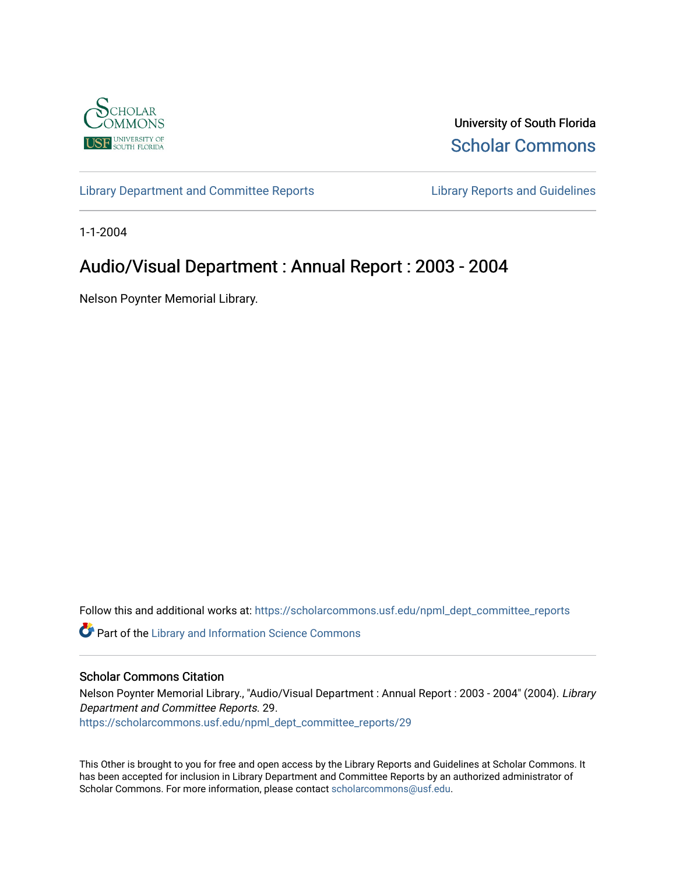

University of South Florida [Scholar Commons](https://scholarcommons.usf.edu/) 

[Library Department and Committee Reports](https://scholarcommons.usf.edu/npml_dept_committee_reports) [Library Reports and Guidelines](https://scholarcommons.usf.edu/npml_reports_guidelines_instruct_materials) 

1-1-2004

# Audio/Visual Department : Annual Report : 2003 - 2004

Nelson Poynter Memorial Library.

Follow this and additional works at: [https://scholarcommons.usf.edu/npml\\_dept\\_committee\\_reports](https://scholarcommons.usf.edu/npml_dept_committee_reports?utm_source=scholarcommons.usf.edu%2Fnpml_dept_committee_reports%2F29&utm_medium=PDF&utm_campaign=PDFCoverPages)

Part of the [Library and Information Science Commons](http://network.bepress.com/hgg/discipline/1018?utm_source=scholarcommons.usf.edu%2Fnpml_dept_committee_reports%2F29&utm_medium=PDF&utm_campaign=PDFCoverPages) 

#### Scholar Commons Citation

Nelson Poynter Memorial Library., "Audio/Visual Department : Annual Report : 2003 - 2004" (2004). Library Department and Committee Reports. 29. [https://scholarcommons.usf.edu/npml\\_dept\\_committee\\_reports/29](https://scholarcommons.usf.edu/npml_dept_committee_reports/29?utm_source=scholarcommons.usf.edu%2Fnpml_dept_committee_reports%2F29&utm_medium=PDF&utm_campaign=PDFCoverPages) 

This Other is brought to you for free and open access by the Library Reports and Guidelines at Scholar Commons. It has been accepted for inclusion in Library Department and Committee Reports by an authorized administrator of Scholar Commons. For more information, please contact [scholarcommons@usf.edu](mailto:scholarcommons@usf.edu).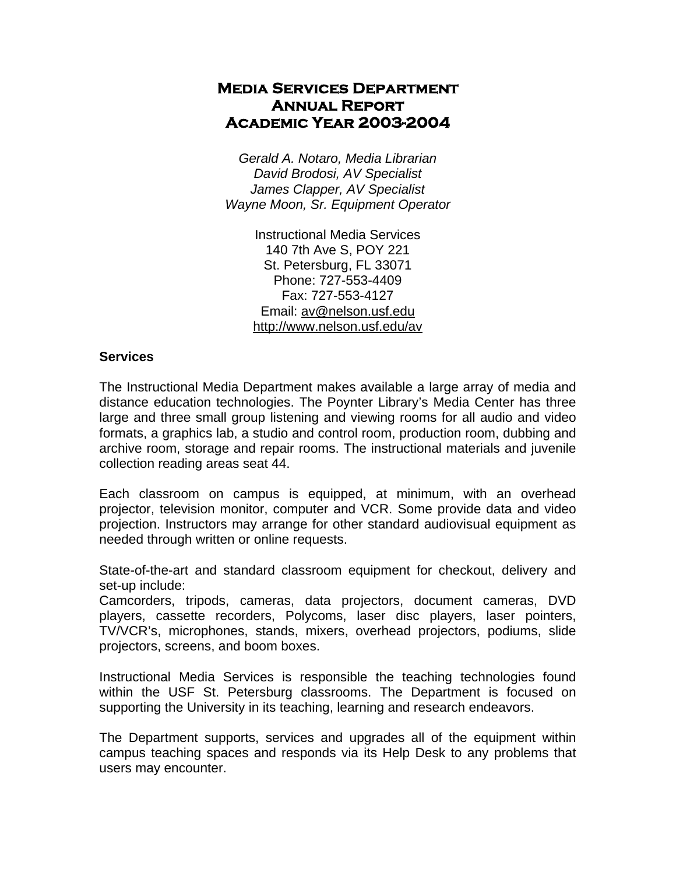## **Media Services Department Annual Report Academic Year 2003-2004**

*Gerald A. Notaro, Media Librarian David Brodosi, AV Specialist James Clapper, AV Specialist Wayne Moon, Sr. Equipment Operator* 

> Instructional Media Services 140 7th Ave S, POY 221 St. Petersburg, FL 33071 Phone: 727-553-4409 Fax: 727-553-4127 Email: av@nelson.usf.edu http://www.nelson.usf.edu/av

### **Services**

The Instructional Media Department makes available a large array of media and distance education technologies. The Poynter Library's Media Center has three large and three small group listening and viewing rooms for all audio and video formats, a graphics lab, a studio and control room, production room, dubbing and archive room, storage and repair rooms. The instructional materials and juvenile collection reading areas seat 44.

Each classroom on campus is equipped, at minimum, with an overhead projector, television monitor, computer and VCR. Some provide data and video projection. Instructors may arrange for other standard audiovisual equipment as needed through written or online requests.

State-of-the-art and standard classroom equipment for checkout, delivery and set-up include:

Camcorders, tripods, cameras, data projectors, document cameras, DVD players, cassette recorders, Polycoms, laser disc players, laser pointers, TV/VCR's, microphones, stands, mixers, overhead projectors, podiums, slide projectors, screens, and boom boxes.

Instructional Media Services is responsible the teaching technologies found within the USF St. Petersburg classrooms. The Department is focused on supporting the University in its teaching, learning and research endeavors.

The Department supports, services and upgrades all of the equipment within campus teaching spaces and responds via its Help Desk to any problems that users may encounter.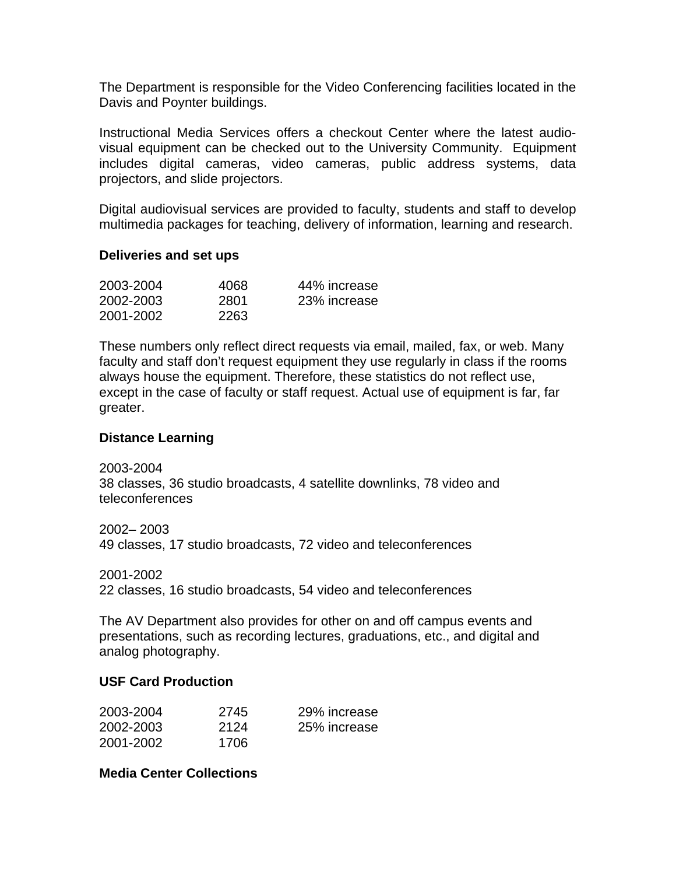The Department is responsible for the Video Conferencing facilities located in the Davis and Poynter buildings.

Instructional Media Services offers a checkout Center where the latest audiovisual equipment can be checked out to the University Community. Equipment includes digital cameras, video cameras, public address systems, data projectors, and slide projectors.

Digital audiovisual services are provided to faculty, students and staff to develop multimedia packages for teaching, delivery of information, learning and research.

#### **Deliveries and set ups**

| 2003-2004 | 4068 | 44% increase |
|-----------|------|--------------|
| 2002-2003 | 2801 | 23% increase |
| 2001-2002 | 2263 |              |

These numbers only reflect direct requests via email, mailed, fax, or web. Many faculty and staff don't request equipment they use regularly in class if the rooms always house the equipment. Therefore, these statistics do not reflect use, except in the case of faculty or staff request. Actual use of equipment is far, far greater.

#### **Distance Learning**

2003-2004 38 classes, 36 studio broadcasts, 4 satellite downlinks, 78 video and teleconferences

2002– 2003 49 classes, 17 studio broadcasts, 72 video and teleconferences

2001-2002

22 classes, 16 studio broadcasts, 54 video and teleconferences

The AV Department also provides for other on and off campus events and presentations, such as recording lectures, graduations, etc., and digital and analog photography.

#### **USF Card Production**

| 2003-2004 | 2745  | 29% increase |
|-----------|-------|--------------|
| 2002-2003 | 2124  | 25% increase |
| 2001-2002 | 1706. |              |

**Media Center Collections**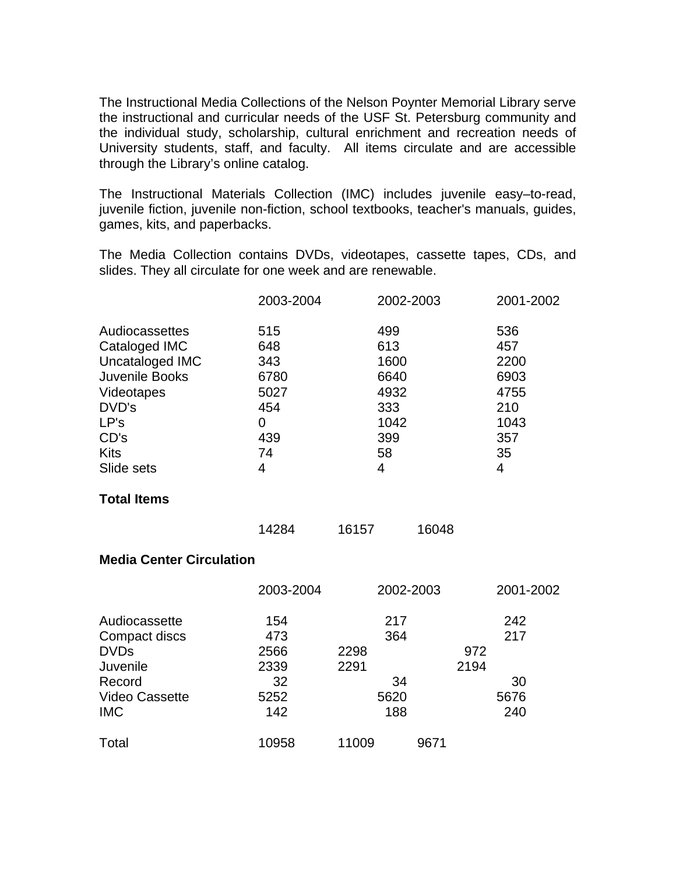The Instructional Media Collections of the Nelson Poynter Memorial Library serve the instructional and curricular needs of the USF St. Petersburg community and the individual study, scholarship, cultural enrichment and recreation needs of University students, staff, and faculty. All items circulate and are accessible through the Library's online catalog.

The Instructional Materials Collection (IMC) includes juvenile easy–to-read, juvenile fiction, juvenile non-fiction, school textbooks, teacher's manuals, guides, games, kits, and paperbacks.

The Media Collection contains DVDs, videotapes, cassette tapes, CDs, and slides. They all circulate for one week and are renewable.

|                                                                                                                                          | 2003-2004                                                       | 2002-2003                                                           |             | 2001-2002                                                           |  |  |
|------------------------------------------------------------------------------------------------------------------------------------------|-----------------------------------------------------------------|---------------------------------------------------------------------|-------------|---------------------------------------------------------------------|--|--|
| Audiocassettes<br>Cataloged IMC<br>Uncataloged IMC<br>Juvenile Books<br>Videotapes<br>DVD's<br>LP's<br>CD's<br><b>Kits</b><br>Slide sets | 515<br>648<br>343<br>6780<br>5027<br>454<br>0<br>439<br>74<br>4 | 499<br>613<br>1600<br>6640<br>4932<br>333<br>1042<br>399<br>58<br>4 |             | 536<br>457<br>2200<br>6903<br>4755<br>210<br>1043<br>357<br>35<br>4 |  |  |
| <b>Total Items</b>                                                                                                                       |                                                                 |                                                                     |             |                                                                     |  |  |
|                                                                                                                                          | 14284                                                           | 16157                                                               | 16048       |                                                                     |  |  |
| <b>Media Center Circulation</b>                                                                                                          |                                                                 |                                                                     |             |                                                                     |  |  |
|                                                                                                                                          | 2003-2004                                                       | 2002-2003                                                           |             | 2001-2002                                                           |  |  |
| Audiocassette<br>Compact discs<br><b>DVDs</b><br>Juvenile<br>Record<br><b>Video Cassette</b><br><b>IMC</b>                               | 154<br>473<br>2566<br>2339<br>32<br>5252<br>142                 | 217<br>364<br>2298<br>2291<br>34<br>5620<br>188                     | 972<br>2194 | 242<br>217<br>30<br>5676<br>240                                     |  |  |
| Total                                                                                                                                    | 10958                                                           | 11009                                                               | 9671        |                                                                     |  |  |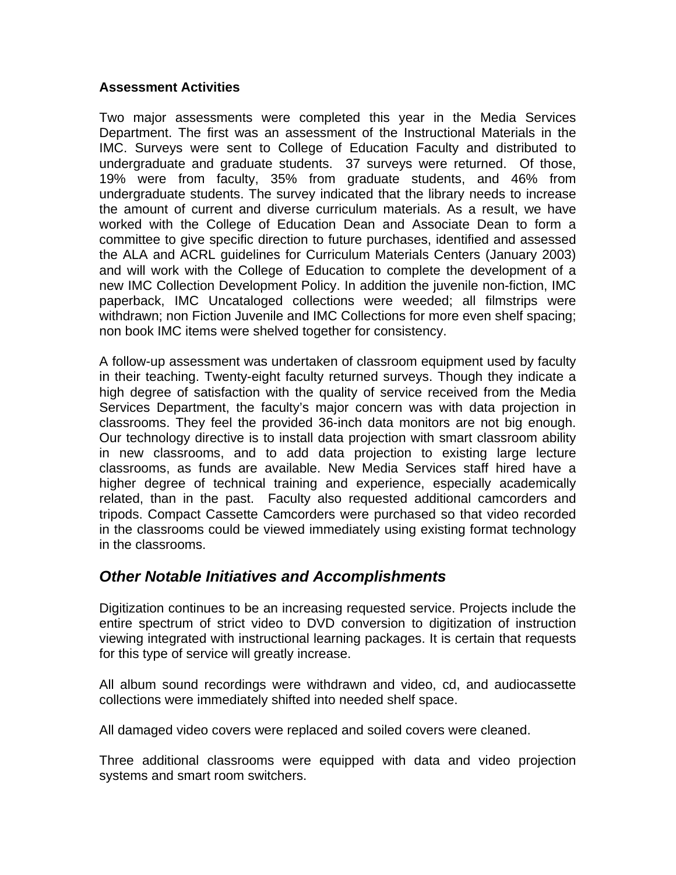### **Assessment Activities**

Two major assessments were completed this year in the Media Services Department. The first was an assessment of the Instructional Materials in the IMC. Surveys were sent to College of Education Faculty and distributed to undergraduate and graduate students. 37 surveys were returned. Of those, 19% were from faculty, 35% from graduate students, and 46% from undergraduate students. The survey indicated that the library needs to increase the amount of current and diverse curriculum materials. As a result, we have worked with the College of Education Dean and Associate Dean to form a committee to give specific direction to future purchases, identified and assessed the ALA and ACRL guidelines for Curriculum Materials Centers (January 2003) and will work with the College of Education to complete the development of a new IMC Collection Development Policy. In addition the juvenile non-fiction, IMC paperback, IMC Uncataloged collections were weeded; all filmstrips were withdrawn; non Fiction Juvenile and IMC Collections for more even shelf spacing; non book IMC items were shelved together for consistency.

A follow-up assessment was undertaken of classroom equipment used by faculty in their teaching. Twenty-eight faculty returned surveys. Though they indicate a high degree of satisfaction with the quality of service received from the Media Services Department, the faculty's major concern was with data projection in classrooms. They feel the provided 36-inch data monitors are not big enough. Our technology directive is to install data projection with smart classroom ability in new classrooms, and to add data projection to existing large lecture classrooms, as funds are available. New Media Services staff hired have a higher degree of technical training and experience, especially academically related, than in the past. Faculty also requested additional camcorders and tripods. Compact Cassette Camcorders were purchased so that video recorded in the classrooms could be viewed immediately using existing format technology in the classrooms.

## *Other Notable Initiatives and Accomplishments*

Digitization continues to be an increasing requested service. Projects include the entire spectrum of strict video to DVD conversion to digitization of instruction viewing integrated with instructional learning packages. It is certain that requests for this type of service will greatly increase.

All album sound recordings were withdrawn and video, cd, and audiocassette collections were immediately shifted into needed shelf space.

All damaged video covers were replaced and soiled covers were cleaned.

Three additional classrooms were equipped with data and video projection systems and smart room switchers.